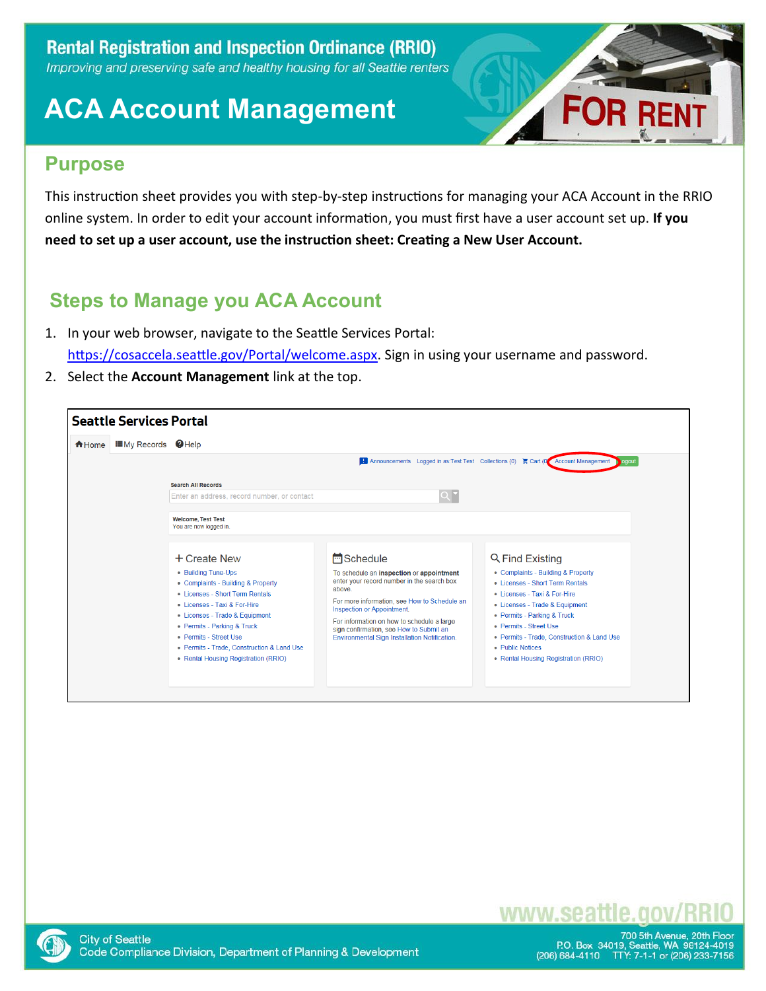

### **Purpose**

This instruction sheet provides you with step-by-step instructions for managing your ACA Account in the RRIO online system. In order to edit your account information, you must first have a user account set up. **If you need to set up a user account, use the instruction sheet: Creating a New User Account.**

### **Steps to Manage you ACA Account**

- 1. In your web browser, navigate to the Seattle Services Portal: [https://cosaccela.seattle.gov/Portal/welcome.aspx.](https://cosaccela.seattle.gov/Portal/welcome.aspx) Sign in using your username and password.
- 2. Select the **Account Management** link at the top.

| <b>IE</b> My Records <b>Ø</b> Help<br><del>n</del> Home |                                                                                                                                                                                                                                                                                                                               |                                                                                                                                                                                                                                                                                                                                               |                                                                                                                                                                                                                                                                                                                               |  |  |  |  |
|---------------------------------------------------------|-------------------------------------------------------------------------------------------------------------------------------------------------------------------------------------------------------------------------------------------------------------------------------------------------------------------------------|-----------------------------------------------------------------------------------------------------------------------------------------------------------------------------------------------------------------------------------------------------------------------------------------------------------------------------------------------|-------------------------------------------------------------------------------------------------------------------------------------------------------------------------------------------------------------------------------------------------------------------------------------------------------------------------------|--|--|--|--|
|                                                         | I Announcements Logged in as: Test Test Collections (0) Cart (0) Account Management                                                                                                                                                                                                                                           |                                                                                                                                                                                                                                                                                                                                               |                                                                                                                                                                                                                                                                                                                               |  |  |  |  |
|                                                         | <b>Search All Records</b>                                                                                                                                                                                                                                                                                                     |                                                                                                                                                                                                                                                                                                                                               |                                                                                                                                                                                                                                                                                                                               |  |  |  |  |
|                                                         | Enter an address, record number, or contact                                                                                                                                                                                                                                                                                   | $Q^{\bullet}$                                                                                                                                                                                                                                                                                                                                 |                                                                                                                                                                                                                                                                                                                               |  |  |  |  |
|                                                         | <b>Welcome, Test Test</b><br>You are now logged in.                                                                                                                                                                                                                                                                           |                                                                                                                                                                                                                                                                                                                                               |                                                                                                                                                                                                                                                                                                                               |  |  |  |  |
|                                                         | + Create New<br>• Building Tune-Ups<br>• Complaints - Building & Property<br>• Licenses - Short Term Rentals<br>• Licenses - Taxi & For-Hire<br>• Licenses - Trade & Equipment<br>• Permits - Parking & Truck<br>• Permits - Street Use<br>• Permits - Trade, Construction & Land Use<br>• Rental Housing Registration (RRIO) | <b>H</b> Schedule<br>To schedule an inspection or appointment<br>enter your record number in the search box<br>above.<br>For more information, see How to Schedule an<br>Inspection or Appointment.<br>For information on how to schedule a large<br>sign confirmation, see How to Submit an<br>Environmental Sign Installation Notification. | Q Find Existing<br>• Complaints - Building & Property<br>. Licenses - Short Term Rentals<br>• Licenses - Taxi & For-Hire<br>• Licenses - Trade & Equipment<br>• Permits - Parking & Truck<br>• Permits - Street Use<br>· Permits - Trade, Construction & Land Use<br>· Public Notices<br>• Rental Housing Registration (RRIO) |  |  |  |  |

### www.seat



700 5th Avenue, 20th Floor<br>P.O. Box 34019, Seattle, WA 98124-4019<br>206) 684-4110 TTY: 7-1-1 or (206) 233-7156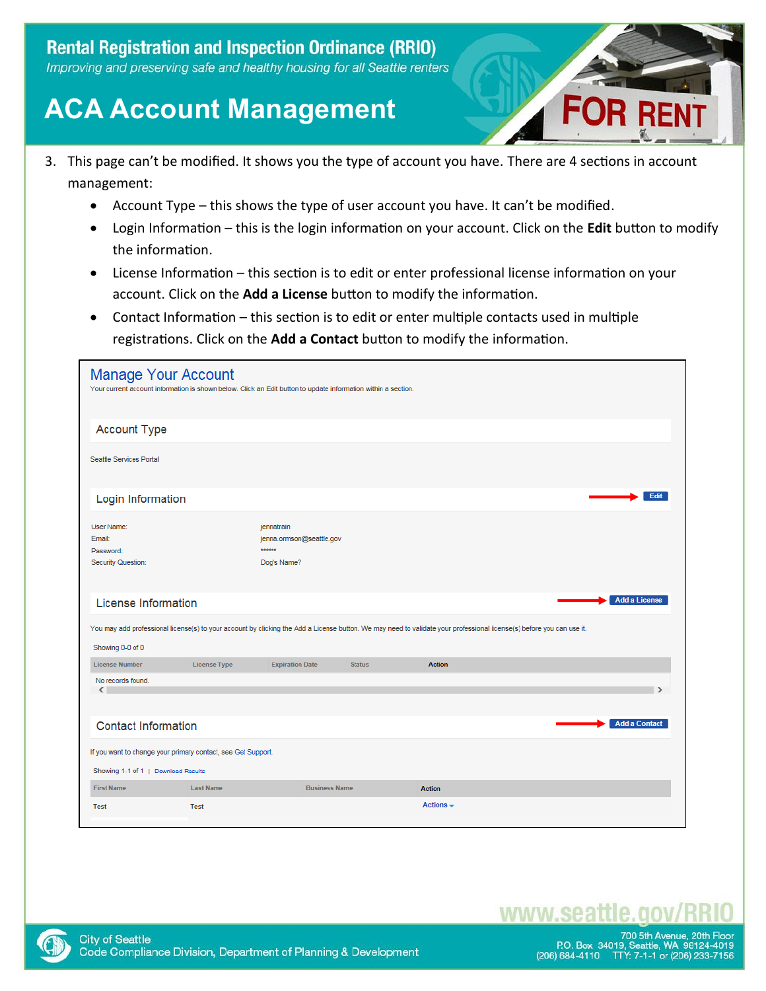

- 3. This page can't be modified. It shows you the type of account you have. There are 4 sections in account management:
	- Account Type this shows the type of user account you have. It can't be modified.
	- Login Information this is the login information on your account. Click on the **Edit** button to modify the information.
	- License Information this section is to edit or enter professional license information on your account. Click on the **Add a License** button to modify the information.
	- Contact Information this section is to edit or enter multiple contacts used in multiple registrations. Click on the **Add a Contact** button to modify the information.

| <b>Manage Your Account</b><br>Your current account information is shown below. Click an Edit button to update information within a section. |                     |                                                                 |               |                                                                                                                                                                       |                      |
|---------------------------------------------------------------------------------------------------------------------------------------------|---------------------|-----------------------------------------------------------------|---------------|-----------------------------------------------------------------------------------------------------------------------------------------------------------------------|----------------------|
| <b>Account Type</b>                                                                                                                         |                     |                                                                 |               |                                                                                                                                                                       |                      |
| Seattle Services Portal                                                                                                                     |                     |                                                                 |               |                                                                                                                                                                       |                      |
| Login Information                                                                                                                           |                     |                                                                 |               |                                                                                                                                                                       | Edit                 |
| User Name:<br>Email:<br>Password:<br>Security Question:                                                                                     |                     | jennatrain<br>jenna.ormson@seattle.gov<br>******<br>Dog's Name? |               |                                                                                                                                                                       |                      |
| License Information                                                                                                                         |                     |                                                                 |               |                                                                                                                                                                       | <b>Add a License</b> |
| Showing 0-0 of 0                                                                                                                            |                     |                                                                 |               | You may add professional license(s) to your account by clicking the Add a License button. We may need to validate your professional license(s) before you can use it. |                      |
| <b>License Number</b>                                                                                                                       | <b>License Type</b> | <b>Expiration Date</b>                                          | <b>Status</b> | <b>Action</b>                                                                                                                                                         |                      |
| No records found.<br>$\langle$                                                                                                              |                     |                                                                 |               |                                                                                                                                                                       |                      |
| <b>Contact Information</b>                                                                                                                  |                     |                                                                 |               |                                                                                                                                                                       | <b>Add a Contact</b> |
| If you want to change your primary contact, see Get Support.                                                                                |                     |                                                                 |               |                                                                                                                                                                       |                      |
| Showing 1-1 of 1   Download Results                                                                                                         |                     |                                                                 |               |                                                                                                                                                                       |                      |
| <b>First Name</b>                                                                                                                           | <b>Last Name</b>    | <b>Business Name</b>                                            |               | <b>Action</b>                                                                                                                                                         |                      |
| <b>Test</b>                                                                                                                                 | <b>Test</b>         |                                                                 |               | Actions $\sim$                                                                                                                                                        |                      |

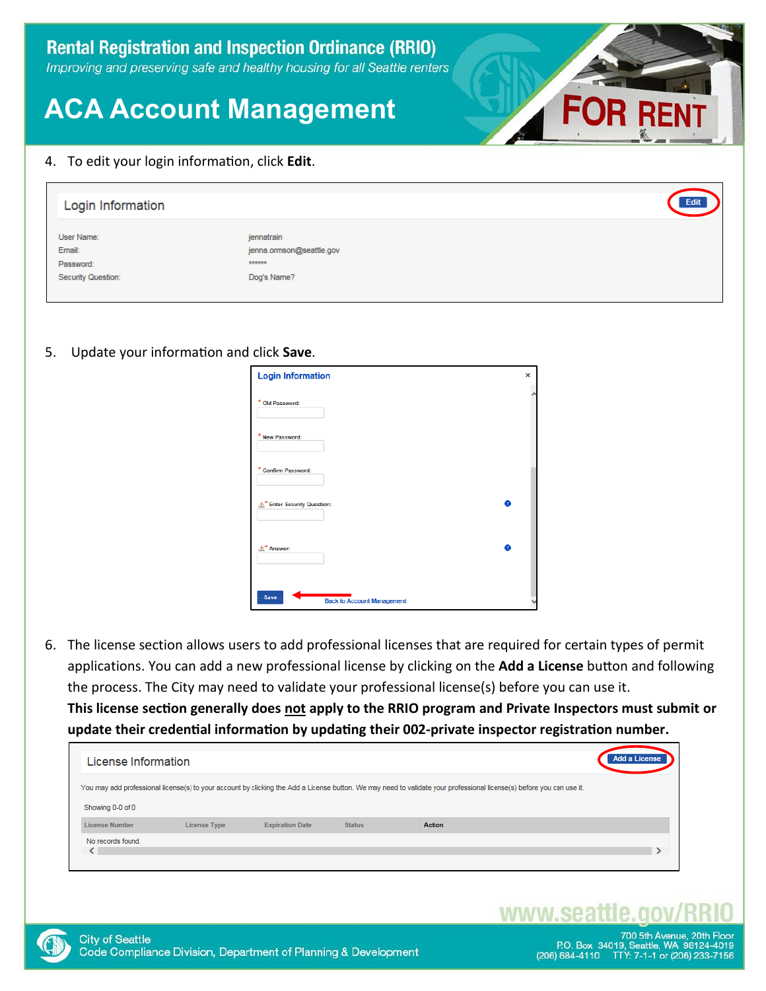#### 4. To edit your login information, click **Edit**.

| Login Information    |                                        | Edit |
|----------------------|----------------------------------------|------|
| User Name:<br>Email: | jennatrain<br>jenna.ormson@seattle.gov |      |
| Password:            | ******                                 |      |
| Security Question:   | Dog's Name?                            |      |

#### 5. Update your information and click **Save**.

| <b>Login Information</b>                         | × |
|--------------------------------------------------|---|
| * Old Password:                                  |   |
| * New Password:                                  |   |
| * Confirm Password:                              |   |
| 0<br>* Enter Security Question:                  |   |
| ø<br>A <sup>*</sup> Answer:                      |   |
| <b>Save</b><br><b>Back to Account Management</b> |   |

6. The license section allows users to add professional licenses that are required for certain types of permit applications. You can add a new professional license by clicking on the **Add a License** button and following the process. The City may need to validate your professional license(s) before you can use it. **This license section generally does not apply to the RRIO program and Private Inspectors must submit or update their credential information by updating their 002-private inspector registration number.**

| License Information   |                     |                        |               |                                                                                                                                                                       | <b>Add a License</b> |
|-----------------------|---------------------|------------------------|---------------|-----------------------------------------------------------------------------------------------------------------------------------------------------------------------|----------------------|
|                       |                     |                        |               | You may add professional license(s) to your account by clicking the Add a License button. We may need to validate your professional license(s) before you can use it. |                      |
| Showing 0-0 of 0      |                     |                        |               |                                                                                                                                                                       |                      |
| <b>License Number</b> | <b>License Type</b> | <b>Expiration Date</b> | <b>Status</b> | Action                                                                                                                                                                |                      |
| No records found.     |                     |                        |               |                                                                                                                                                                       |                      |

### www.sea

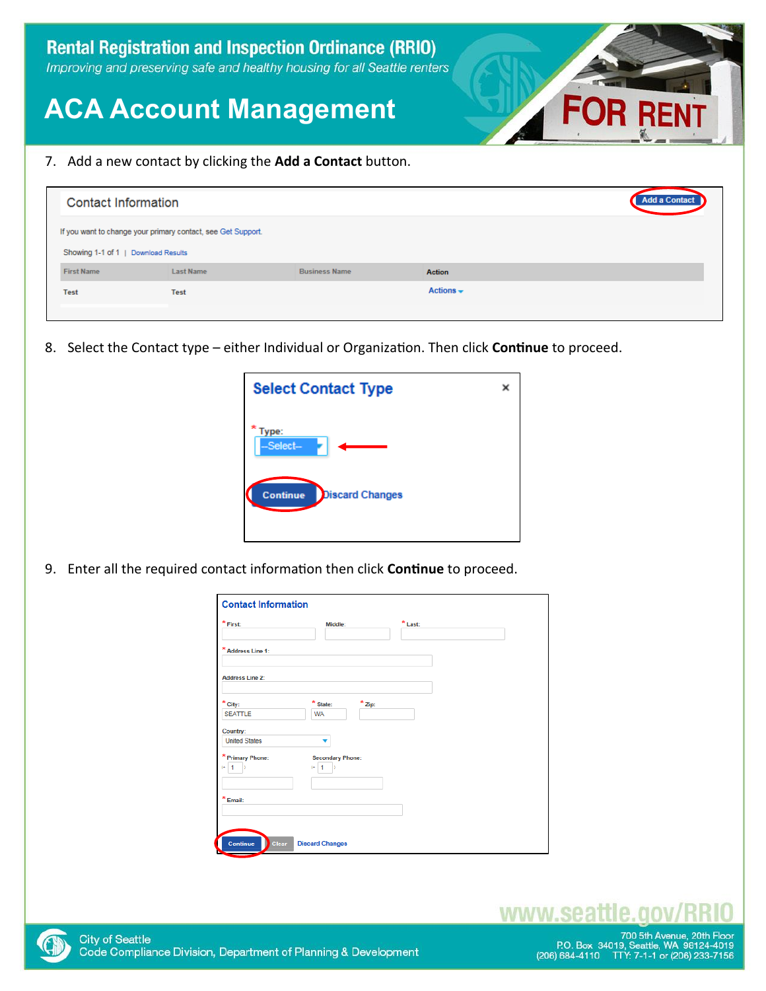

7. Add a new contact by clicking the **Add a Contact** button.

|                                                                                                     | <b>Contact Information</b> |                      |                |  |
|-----------------------------------------------------------------------------------------------------|----------------------------|----------------------|----------------|--|
| If you want to change your primary contact, see Get Support.<br>Showing 1-1 of 1   Download Results |                            |                      |                |  |
| <b>First Name</b>                                                                                   | <b>Last Name</b>           | <b>Business Name</b> | <b>Action</b>  |  |
| <b>Test</b>                                                                                         | <b>Test</b>                |                      | Actions $\div$ |  |

8. Select the Contact type – either Individual or Organization. Then click **Continue** to proceed.

| <b>Select Contact Type</b>                | x |
|-------------------------------------------|---|
| Type:<br>-Select-                         |   |
| <b>Continue</b><br><b>Discard Changes</b> |   |
|                                           |   |

9. Enter all the required contact information then click **Continue** to proceed.

| $\displaystyle{^\star}$ First:     | Middle:                                 | $*$ Last: |
|------------------------------------|-----------------------------------------|-----------|
| * Address Line 1:                  |                                         |           |
| <b>Address Line 2:</b>             |                                         |           |
| $*$ City:                          | $*$ State:<br>$*$ Zip:                  |           |
| <b>SEATTLE</b>                     | <b>WA</b>                               |           |
| Country:                           |                                         |           |
| <b>United States</b>               |                                         |           |
| * Primary Phone:<br>$(4 - 1)$<br>n | <b>Secondary Phone:</b><br>$(+ 1)$<br>ь |           |
|                                    |                                         |           |
| * Email:                           |                                         |           |
|                                    |                                         |           |